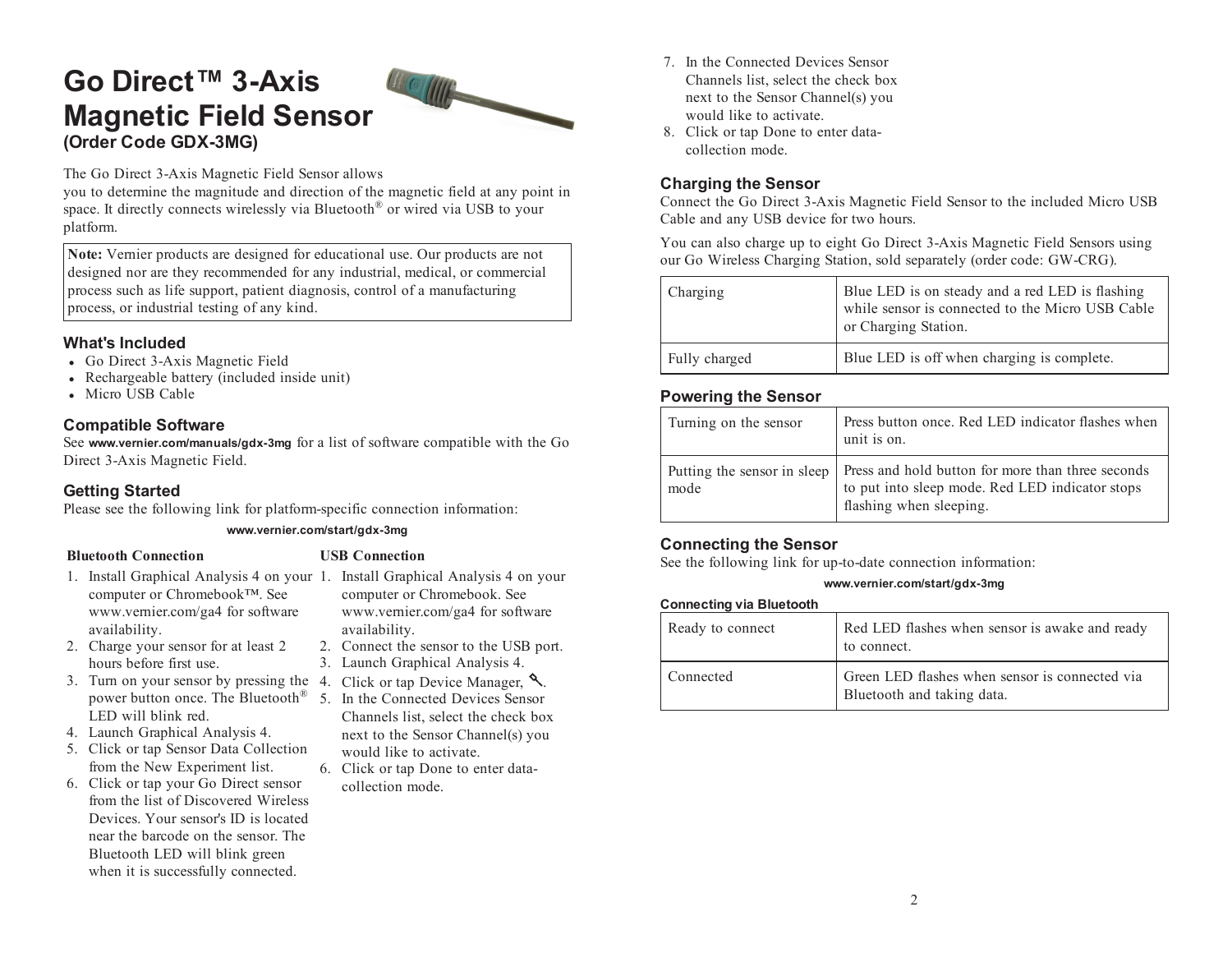# **Go Direct™ 3-Axis Magnetic Field Sensor (Order Code GDX-3MG)**



The Go Direct 3-Axis Magnetic Field Sensor allows

you to determine the magnitude and direction of the magnetic field at any point in space. It directly connects wirelessly via Bluetooth ® or wired via USB to your platform.

**Note:** Vernier products are designed for educational use. Our products are not designed nor are they recommended for any industrial, medical, or commercial process such as life support, patient diagnosis, control of <sup>a</sup> manufacturing process, or industrial testing of any kind.

### **What's Included**

- Go Direct 3-Axis Magnetic Field
- Rechargeable battery (included inside unit)
- Micro USB Cable

### **Compatible Software**

See **www.vernier.com/manuals/gdx-3mg** for <sup>a</sup> list of software compatible with the Go Direct 3-Axis Magnetic Field.

### **Getting Started**

Please see the following link for platform-specific connection information:

### **www.vernier.com/start/gdx-3mg**

### **Bluetooth Connection USB Connection**

hours before first use.

LED will blink red. 4. Launch Graphical Analysis 4. 5. Click or tap Sensor Data Collection from the New Experiment list. 6. Click or tap your Go Direct sensor from the list of Discovered Wireless Devices. Your sensor's ID is located near the barcode on the sensor. The Bluetooth LED will blink green when it is successfully connected.

- 1. Install Graphical Analysis 4 on your 1. Install Graphical Analysis 4 on your computer or Chromebook™. See www.vernier.com/ga4 for software availability. 2. Charge your sensor for at least 2
	- computer or Chromebook. See
	- www.vernier.com/ga4 for software availability. 2. Connect the sensor to the USB port.
	-
	- 3. Launch Graphical Analysis 4.
- 3. Turn on your sensor by pressing the 4. Click or tap Device Manager,  $\mathcal{L}$ .
	- power button once. The Bluetooth<sup>®</sup> 5. In the Connected Devices Sensor Channels list, select the check box next to the Sensor Channel(s) you would like to activate.
		- 6. Click or tap Done to enter datacollection mode.
- 7. In the Connected Devices Sensor Channels list, select the check box next to the Sensor Channel(s) you would like to activate.
- 8. Click or tap Done to enter datacollection mode.

# **Charging the Sensor**

Connect the Go Direct 3-Axis Magnetic Field Sensor to the included Micro US B Cable and any USB device for two hours.

You can also charge up to eight Go Direct 3-Axis Magnetic Field Sensors using our Go Wireless Charging Station, sold separately (order code: GW-CRG).

| Charging      | Blue LED is on steady and a red LED is flashing<br>while sensor is connected to the Micro USB Cable<br>or Charging Station. |
|---------------|-----------------------------------------------------------------------------------------------------------------------------|
| Fully charged | Blue LED is off when charging is complete.                                                                                  |

### **Powering the Sensor**

| Turning on the sensor | Press button once. Red LED indicator flashes when<br>unit is on.                                                                                              |
|-----------------------|---------------------------------------------------------------------------------------------------------------------------------------------------------------|
| mode                  | Putting the sensor in sleep   Press and hold button for more than three seconds<br>to put into sleep mode. Red LED indicator stops<br>flashing when sleeping. |

### **Connecting the Sensor**

See the following link for up-to-date connection information:

### **www.vernier.com/start/gdx-3mg**

### **Connecting via Bluetooth**

| Ready to connect | Red LED flashes when sensor is awake and ready<br>to connect.                |
|------------------|------------------------------------------------------------------------------|
| Connected        | Green LED flashes when sensor is connected via<br>Bluetooth and taking data. |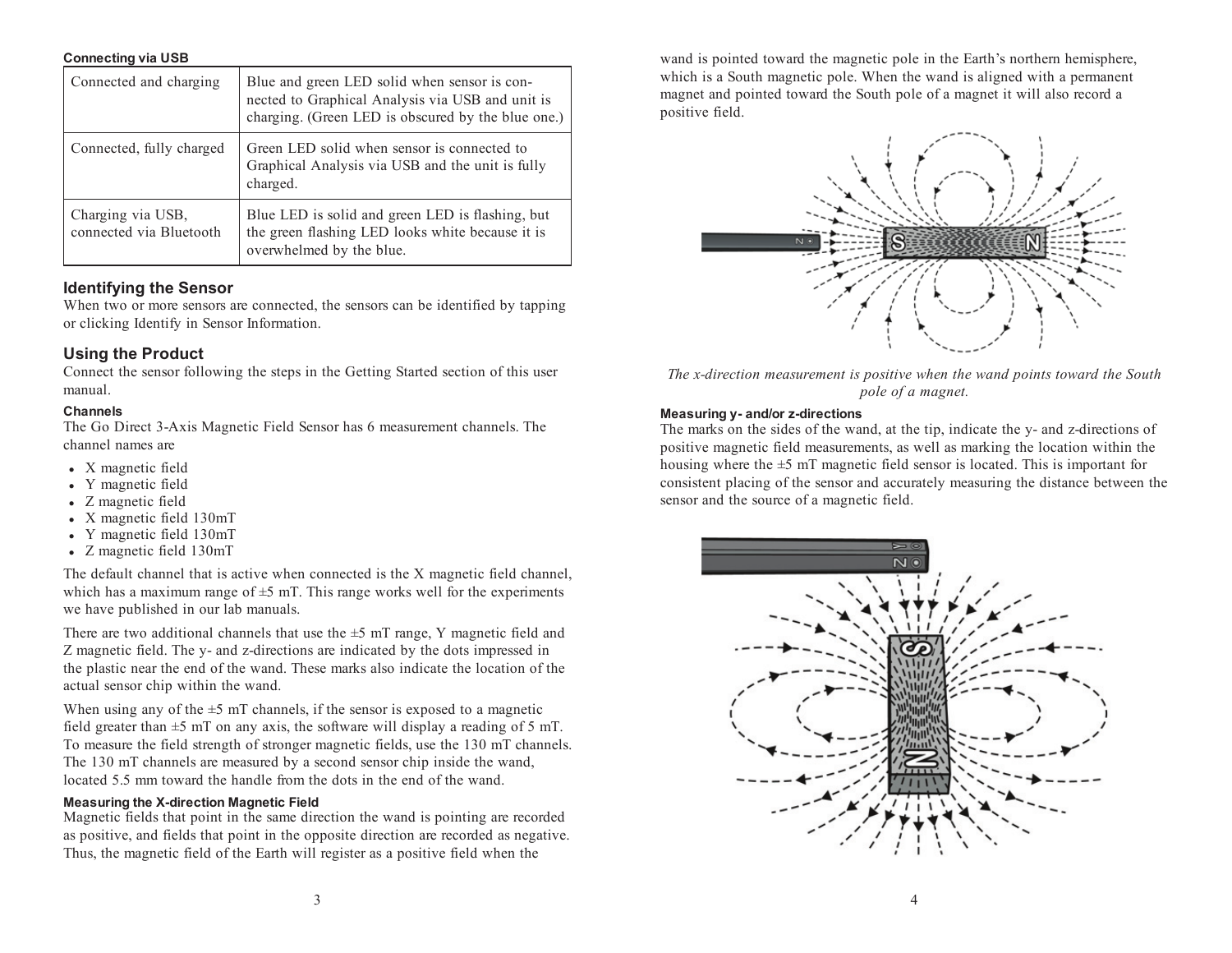#### **Connecting via USB**

| Connected and charging                       | Blue and green LED solid when sensor is con-<br>nected to Graphical Analysis via USB and unit is<br>charging. (Green LED is obscured by the blue one.) |
|----------------------------------------------|--------------------------------------------------------------------------------------------------------------------------------------------------------|
| Connected, fully charged                     | Green LED solid when sensor is connected to<br>Graphical Analysis via USB and the unit is fully<br>charged.                                            |
| Charging via USB,<br>connected via Bluetooth | Blue LED is solid and green LED is flashing, but<br>the green flashing LED looks white because it is<br>overwhelmed by the blue.                       |

### **Identifying the Sensor**

When two or more sensors are connected, the sensors can be identified by tapping or clicking Identify in Sensor Information.

### **Using the Product**

Connect the sensor following the steps in the Getting Started section of this user manual.

#### **Channels**

The Go Direct 3-Axis Magnetic Field Sensor has 6 measurement channels. The channel names are

- X magnetic field
- Y magnetic field
- Z magnetic field
- X magnetic field 130mT
- Y magnetic field 130mT
- Z magnetic field 130mT

The default channel that is active when connected is the X magnetic field channel, which has a maximum range of  $\pm$ 5 mT. This range works well for the experiments we have published in our lab manuals.

There are two additional channels that use the  $\pm$ 5 mT range, Y magnetic field and Z magnetic field. The y- and z-directions are indicated by the dots impressed in the plastic near the end of the wand. These marks also indicate the location of the actual sensor chip within the wand.

When using any of the  $\pm$ 5 mT channels, if the sensor is exposed to a magnetic field greater than  $\pm$ 5 mT on any axis, the software will display a reading of 5 mT. To measure the field strength of stronger magnetic fields, use the 130 mT channels. The 130 mT channels are measured by <sup>a</sup> second sensor chip inside the wand, located 5.5 mm toward the handle from the dots in the end of the wand.

#### **Measuring the X-direction Magnetic Field**

Magnetic fields that point in the same direction the wand is pointing are recorded as positive, and fields that point in the opposite direction are recorded as negative. Thus, the magnetic field of the Earth will register as <sup>a</sup> positive field when the

wand is pointed toward the magnetic pole in the Earth's northern hemisphere, which is <sup>a</sup> South magnetic pole. When the wand is aligned with <sup>a</sup> permanen<sup>t</sup> magne<sup>t</sup> and pointed toward the South pole of <sup>a</sup> magne<sup>t</sup> it will also record <sup>a</sup> positive field.



The x-direction measurement is positive when the wand points toward the South *pole of <sup>a</sup> magnet.*

#### **Measuring y- and/or z-directions**

The marks on the sides of the wand, at the tip, indicate the y- and z-directions of positive magnetic field measurements, as well as marking the location within the housing where the  $\pm$ 5 mT magnetic field sensor is located. This is important for consistent placing of the sensor and accurately measuring the distance between the sensor and the source of <sup>a</sup> magnetic field.

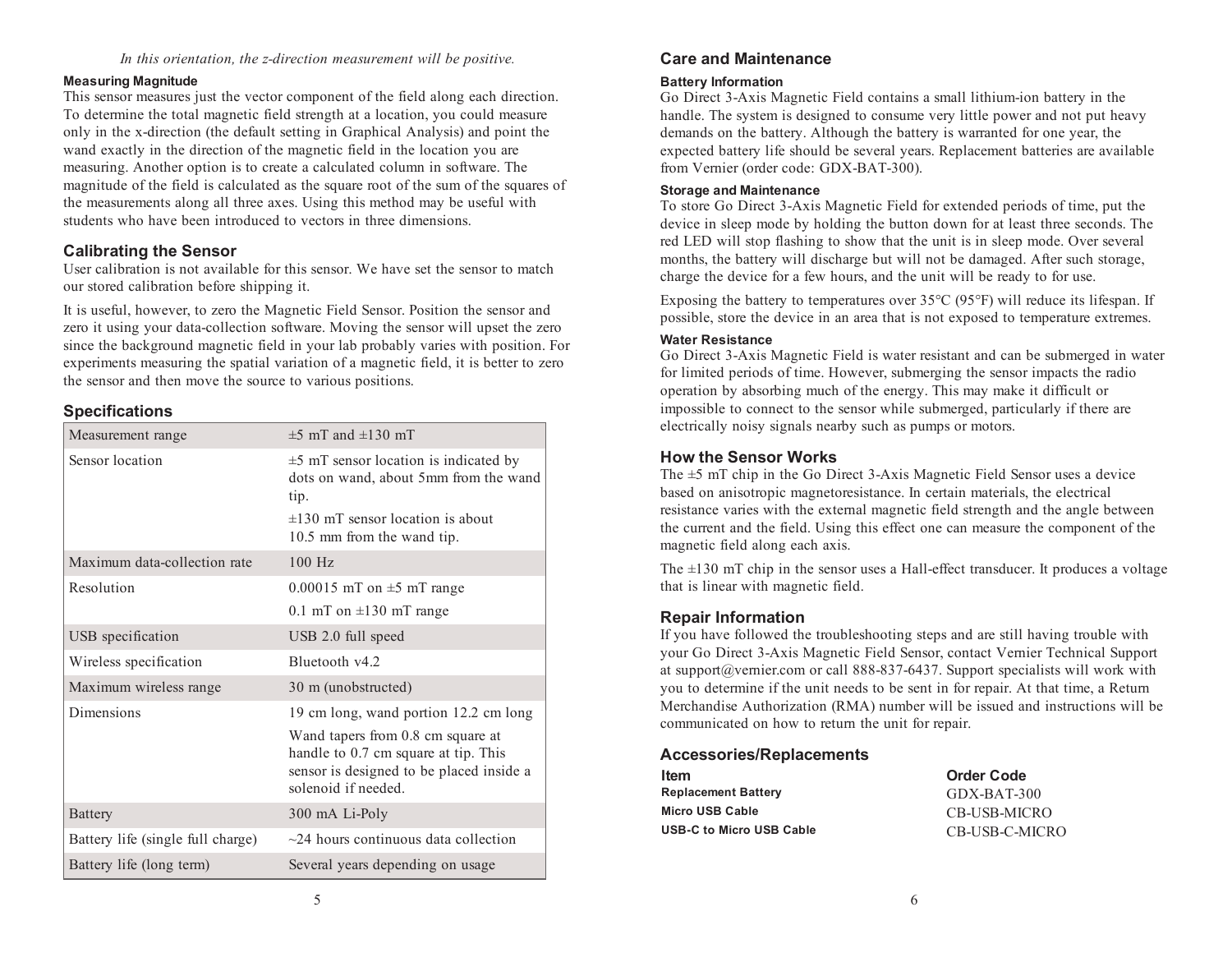### *In this orientation, the z-direction measurement will be positive.*

### **Measuring Magnitude**

This sensor measures just the vector componen<sup>t</sup> of the field along each direction. To determine the total magnetic field strength at <sup>a</sup> location, you could measure only in the x-direction (the default setting in Graphical Analysis) and point the wand exactly in the direction of the magnetic field in the location you are measuring. Another option is to create <sup>a</sup> calculated column in software. The magnitude of the field is calculated as the square root of the sum of the squares of the measurements along all three axes. Using this method may be useful with students who have been introduced to vectors in three dimensions.

### **Calibrating the Sensor**

User calibration is not available for this sensor. We have set the sensor to match our stored calibration before shipping it.

It is useful, however, to zero the Magnetic Field Sensor. Position the sensor and zero it using your data-collection software. Moving the sensor will upse<sup>t</sup> the zero since the background magnetic field in your lab probably varies with position. For experiments measuring the spatial variation of <sup>a</sup> magnetic field, it is better to zero the sensor and then move the source to various positions.

### **Specifications**

| Measurement range                 | $\pm$ 5 mT and $\pm$ 130 mT                                                                                                                  |
|-----------------------------------|----------------------------------------------------------------------------------------------------------------------------------------------|
| Sensor location                   | $\pm$ 5 mT sensor location is indicated by<br>dots on wand, about 5mm from the wand<br>tip.                                                  |
|                                   | $\pm 130$ mT sensor location is about<br>10.5 mm from the wand tip.                                                                          |
| Maximum data-collection rate      | $100$ Hz                                                                                                                                     |
| Resolution                        | $0.00015$ mT on $\pm$ 5 mT range                                                                                                             |
|                                   | 0.1 mT on $\pm$ 130 mT range                                                                                                                 |
| USB specification                 | USB 2.0 full speed                                                                                                                           |
| Wireless specification            | Bluetooth v4.2                                                                                                                               |
| Maximum wireless range            | 30 m (unobstructed)                                                                                                                          |
| Dimensions                        | 19 cm long, wand portion 12.2 cm long                                                                                                        |
|                                   | Wand tapers from 0.8 cm square at<br>handle to 0.7 cm square at tip. This<br>sensor is designed to be placed inside a<br>solenoid if needed. |
| <b>Battery</b>                    | 300 mA Li-Poly                                                                                                                               |
| Battery life (single full charge) | $\sim$ 24 hours continuous data collection                                                                                                   |
| Battery life (long term)          | Several years depending on usage                                                                                                             |

# **Care and Maintenance**

### **Battery Information**

Go Direct 3-Axis Magnetic Field contains <sup>a</sup> small lithium-ion battery in the handle. The system is designed to consume very little power and not pu<sup>t</sup> heav y demands on the battery. Although the battery is warranted for one year, the expected battery life should be several years. Replacement batteries are available from Vernier (order code: GDX-BAT-300).

#### **Storage and Maintenance**

To store Go Direct 3-Axis Magnetic Field for extended periods of time, pu<sup>t</sup> the device in sleep mode by holding the button down for at least three seconds. The red LED will stop flashing to show that the unit is in sleep mode. Over several months, the battery will discharge but will not be damaged. After such storage, charge the device for <sup>a</sup> few hours, and the unit will be ready to for use.

Exposing the battery to temperatures over  $35^{\circ}$ C (95 $^{\circ}$ F) will reduce its lifespan. If possible, store the device in an area that is not exposed to temperature extremes.

### **Water Resistance**

Go Direct 3-Axis Magnetic Field is water resistant and can be submerged in water for limited periods of time. However, submerging the sensor impacts the radio operation by absorbing much of the energy. This may make it difficult or impossible to connect to the sensor while submerged, particularly if there are electrically noisy signals nearby such as pumps or motors.

### **How the Sensor Works**

The ±5 mT chip in the Go Direct 3-Axis Magnetic Field Sensor uses <sup>a</sup> device based on anisotropic magnetoresistance. In certain materials, the electrical resistance varies with the external magnetic field strength and the angle between the current and the field. Using this effect one can measure the componen<sup>t</sup> of the magnetic field along each axis.

The  $\pm 130$  mT chip in the sensor uses a Hall-effect transducer. It produces a voltage that is linear with magnetic field.

### **Repair Information**

If you have followed the troubleshooting steps and are still having trouble with your Go Direct 3-Axis Magnetic Field Sensor, contact Vernier Technical Support at support@vernier.com or call 888-837-6437. Support specialists will work with you to determine if the unit needs to be sent in for repair. At that time, <sup>a</sup> Return Merchandise Authorization (RMA) number will be issued and instructions will be communicated on how to return the unit for repair.

### **Accessories/Replacements**

| ltem                     | <b>Order Code</b> |
|--------------------------|-------------------|
| Replacement Battery      | GDX-BAT-300       |
| Micro USB Cable          | CB-USB-MICRO      |
| USB-C to Micro USB Cable | CB-USB-C-MICRO    |